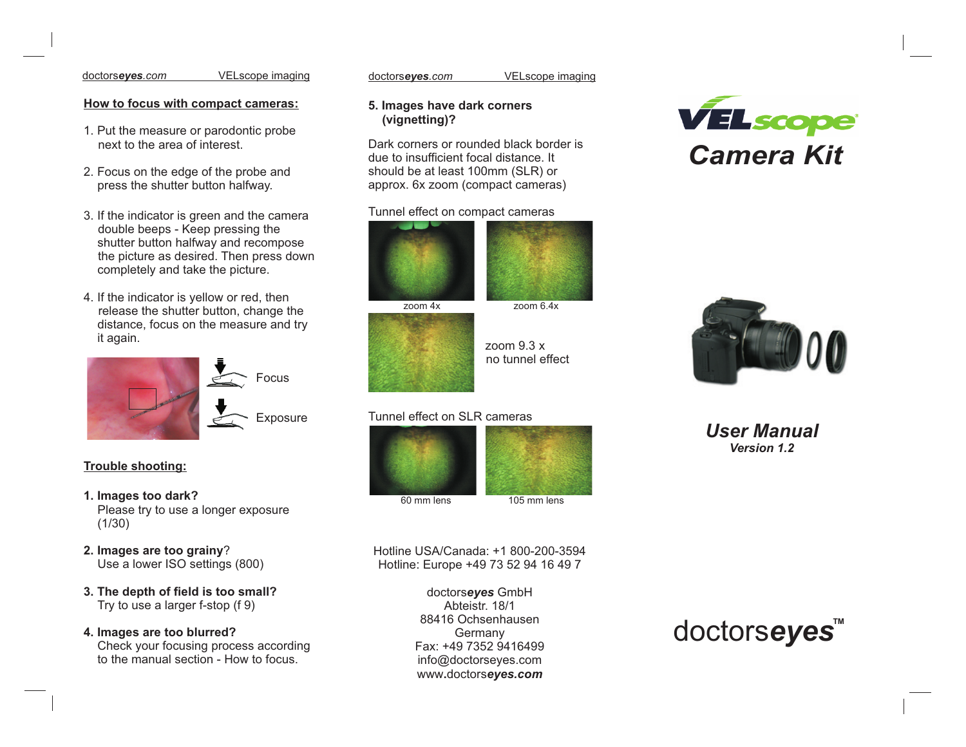#### doctors VELscope imaging *eyes.com*doctorseyes.com **example 3 VELscope imaging example the doctorseyes**.com **example 2 VELscope imaging**

#### <u>**<u>kow to focus with compact cameras:</u>**</u>

- 1. Put the measure or parodontic probenext to the area of interest.
- 2. Focus on the edge of the probe and press the shutter button halfway.
- 3. If the indicator is green and the cameradouble beeps - Keep pressing the shutter button halfway and recompose the picture as desired. Then press down completely and take the picture.
- 4. If the indicator is yellow or red, then release the shutter button, change the distance, focus on the measure and tryit again.



**Exposure** 

Focus

#### **Trouble shooting:**

- Please try to use a longer exposure (1/30) **1. ?Images too dark**
- ?**2.Images are too grainy**Use a lower ISO settings (800)
- Try to use a larger f-stop (f 9) **3. T small?he depth of field is too**
- Check your focusing process according **4. are ?Images too blurred**to the manual section - How to focus.

#### **5.Images have dark corners(vignetting)?**

Dark corners or rounded black border isdue to insufficient focal distance. It should be at least 100mm (SLR) orapprox. 6x zoom (compact cameras)

#### Tunnel effect on compact cameras



#### Tunnel effect on SLR cameras



Hotline USA/Canada: +1 800-200-3594Hotline: Europe +49 73 52 94 16 49 7

> doctors**eyes** GmbH Abteistr. 18/1 88416 Ochsenhausen**Germany**  Fax: +49 7352 9416499 info@doctorseyes.comwww doctors**.** *eyes.com*





*User ManualVersion 1.2*

# doctorseyes<sup>"</sup>